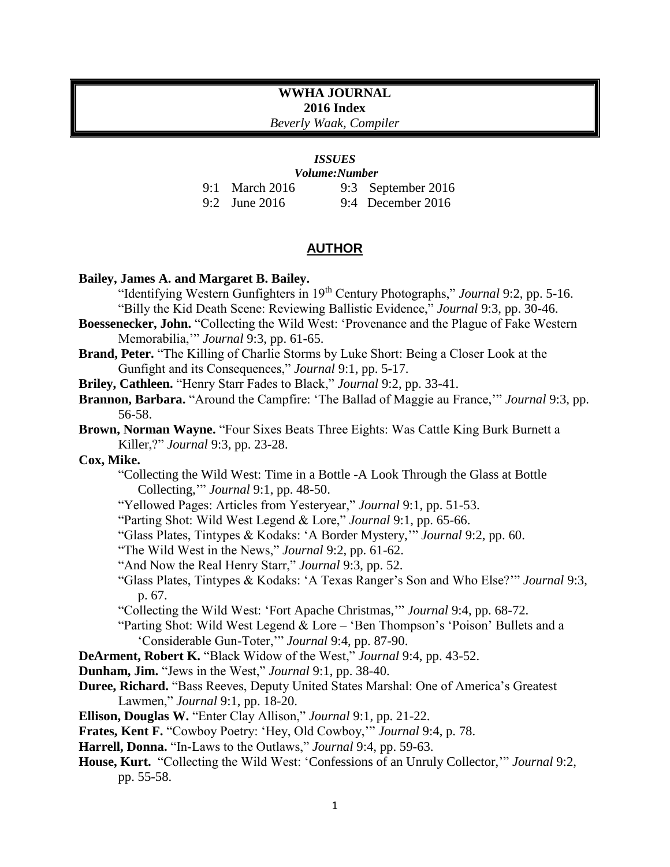# **WWHA JOURNAL 2016 Index**

*Beverly Waak, Compiler*

# *ISSUES*

*Volume:Number*

9:1 March 2016 9:2 June 2016 9:3 September 2016 9:4 December 2016

# **AUTHOR**

## **Bailey, James A. and Margaret B. Bailey.**

"Identifying Western Gunfighters in 19th Century Photographs," *Journal* 9:2, pp. 5-16. "Billy the Kid Death Scene: Reviewing Ballistic Evidence," *Journal* 9:3, pp. 30-46.

- **Boessenecker, John.** "Collecting the Wild West: 'Provenance and the Plague of Fake Western Memorabilia,'" *Journal* 9:3, pp. 61-65.
- **Brand, Peter.** "The Killing of Charlie Storms by Luke Short: Being a Closer Look at the Gunfight and its Consequences," *Journal* 9:1, pp. 5-17.
- **Briley, Cathleen.** "Henry Starr Fades to Black," *Journal* 9:2, pp. 33-41.
- **Brannon, Barbara.** "Around the Campfire: 'The Ballad of Maggie au France,'" *Journal* 9:3, pp. 56-58.
- **Brown, Norman Wayne.** "Four Sixes Beats Three Eights: Was Cattle King Burk Burnett a Killer,?" *Journal* 9:3, pp. 23-28.

**Cox, Mike.**

"Collecting the Wild West: Time in a Bottle -A Look Through the Glass at Bottle Collecting,'" *Journal* 9:1, pp. 48-50.

- "Yellowed Pages: Articles from Yesteryear," *Journal* 9:1, pp. 51-53.
- "Parting Shot: Wild West Legend & Lore," *Journal* 9:1, pp. 65-66.
- "Glass Plates, Tintypes & Kodaks: 'A Border Mystery,'" *Journal* 9:2, pp. 60.
- "The Wild West in the News," *Journal* 9:2, pp. 61-62.
- "And Now the Real Henry Starr," *Journal* 9:3, pp. 52.

"Glass Plates, Tintypes & Kodaks: 'A Texas Ranger's Son and Who Else?'" *Journal* 9:3, p. 67.

"Collecting the Wild West: 'Fort Apache Christmas,'" *Journal* 9:4, pp. 68-72.

"Parting Shot: Wild West Legend & Lore – 'Ben Thompson's 'Poison' Bullets and a 'Considerable Gun-Toter,'" *Journal* 9:4, pp. 87-90.

- **DeArment, Robert K.** "Black Widow of the West," *Journal* 9:4, pp. 43-52.
- **Dunham, Jim.** "Jews in the West," *Journal* 9:1, pp. 38-40.
- **Duree, Richard.** "Bass Reeves, Deputy United States Marshal: One of America's Greatest Lawmen," *Journal* 9:1, pp. 18-20.
- **Ellison, Douglas W.** "Enter Clay Allison," *Journal* 9:1, pp. 21-22.
- **Frates, Kent F.** "Cowboy Poetry: 'Hey, Old Cowboy,'" *Journal* 9:4, p. 78.
- **Harrell, Donna.** "In-Laws to the Outlaws," *Journal* 9:4, pp. 59-63.
- **House, Kurt.** "Collecting the Wild West: 'Confessions of an Unruly Collector,'" *Journal* 9:2, pp. 55-58.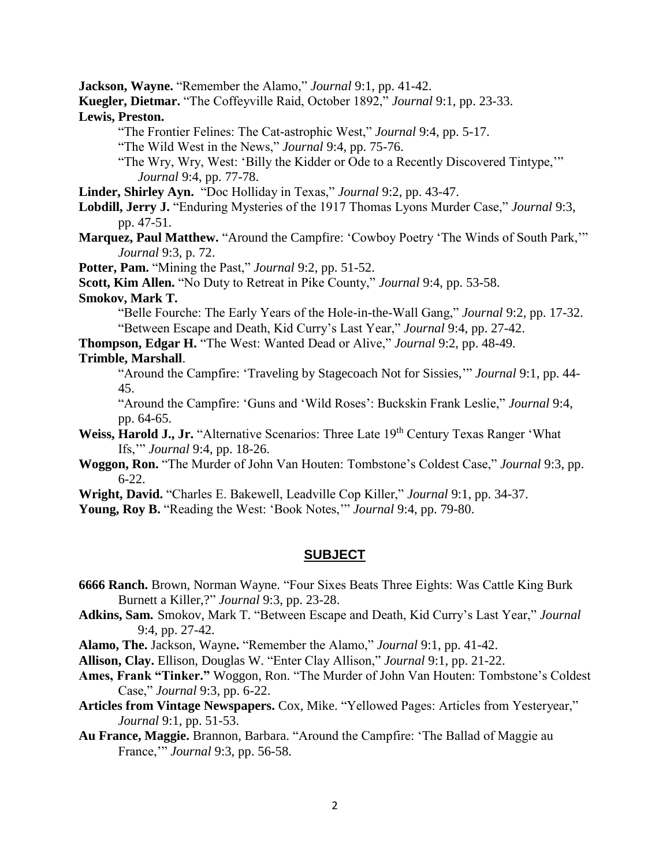**Jackson, Wayne.** "Remember the Alamo," *Journal* 9:1, pp. 41-42.

**Kuegler, Dietmar.** "The Coffeyville Raid, October 1892," *Journal* 9:1, pp. 23-33.

**Lewis, Preston.** 

"The Frontier Felines: The Cat-astrophic West," *Journal* 9:4, pp. 5-17.

"The Wild West in the News," *Journal* 9:4, pp. 75-76.

"The Wry, Wry, West: 'Billy the Kidder or Ode to a Recently Discovered Tintype,'" *Journal* 9:4, pp. 77-78.

**Linder, Shirley Ayn.** "Doc Holliday in Texas," *Journal* 9:2, pp. 43-47.

**Lobdill, Jerry J.** "Enduring Mysteries of the 1917 Thomas Lyons Murder Case," *Journal* 9:3, pp. 47-51.

**Marquez, Paul Matthew.** "Around the Campfire: 'Cowboy Poetry 'The Winds of South Park,'" *Journal* 9:3, p. 72.

**Potter, Pam.** "Mining the Past," *Journal* 9:2, pp. 51-52.

**Scott, Kim Allen.** "No Duty to Retreat in Pike County," *Journal* 9:4, pp. 53-58.

### **Smokov, Mark T.**

"Belle Fourche: The Early Years of the Hole-in-the-Wall Gang," *Journal* 9:2, pp. 17-32. "Between Escape and Death, Kid Curry's Last Year," *Journal* 9:4, pp. 27-42.

**Thompson, Edgar H.** "The West: Wanted Dead or Alive," *Journal* 9:2, pp. 48-49.

# **Trimble, Marshall**.

"Around the Campfire: 'Traveling by Stagecoach Not for Sissies,'" *Journal* 9:1, pp. 44- 45.

"Around the Campfire: 'Guns and 'Wild Roses': Buckskin Frank Leslie," *Journal* 9:4, pp. 64-65.

- Weiss, Harold J., Jr. "Alternative Scenarios: Three Late 19<sup>th</sup> Century Texas Ranger 'What Ifs,'" *Journal* 9:4, pp. 18-26.
- **Woggon, Ron.** "The Murder of John Van Houten: Tombstone's Coldest Case," *Journal* 9:3, pp. 6-22.

**Wright, David.** "Charles E. Bakewell, Leadville Cop Killer," *Journal* 9:1, pp. 34-37.

**Young, Roy B.** "Reading the West: 'Book Notes,'" *Journal* 9:4, pp. 79-80.

# **SUBJECT**

- **6666 Ranch.** Brown, Norman Wayne. "Four Sixes Beats Three Eights: Was Cattle King Burk Burnett a Killer,?" *Journal* 9:3, pp. 23-28.
- **Adkins, Sam.** Smokov, Mark T. "Between Escape and Death, Kid Curry's Last Year," *Journal* 9:4, pp. 27-42.

**Alamo, The.** Jackson, Wayne**.** "Remember the Alamo," *Journal* 9:1, pp. 41-42.

**Allison, Clay.** Ellison, Douglas W. "Enter Clay Allison," *Journal* 9:1, pp. 21-22.

- **Ames, Frank "Tinker."** Woggon, Ron. "The Murder of John Van Houten: Tombstone's Coldest Case," *Journal* 9:3, pp. 6-22.
- **Articles from Vintage Newspapers.** Cox, Mike. "Yellowed Pages: Articles from Yesteryear," *Journal* 9:1, pp. 51-53.
- **Au France, Maggie.** Brannon, Barbara. "Around the Campfire: 'The Ballad of Maggie au France,'" *Journal* 9:3, pp. 56-58.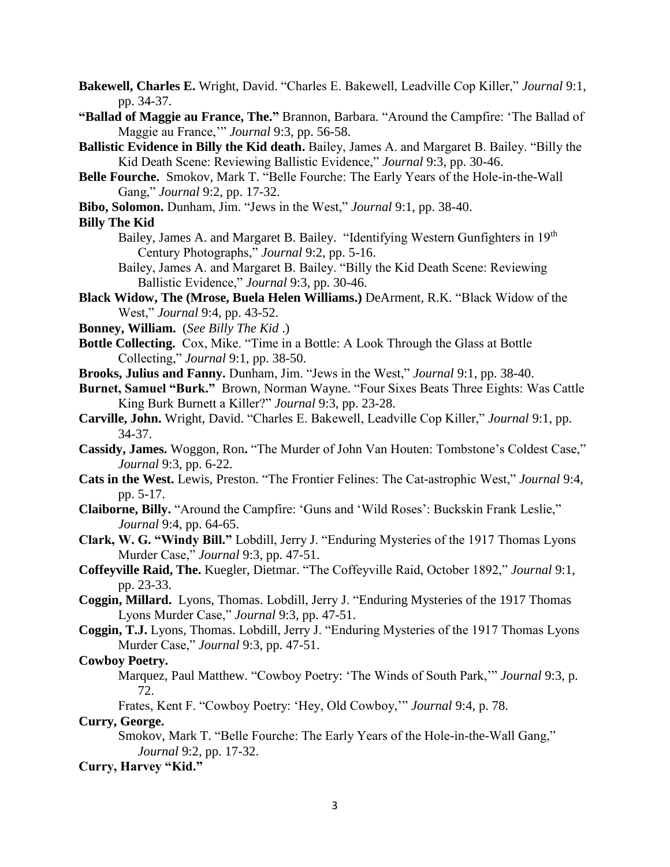**Bakewell, Charles E.** Wright, David. "Charles E. Bakewell, Leadville Cop Killer," *Journal* 9:1, pp. 34-37.

- **"Ballad of Maggie au France, The."** Brannon, Barbara. "Around the Campfire: 'The Ballad of Maggie au France,'" *Journal* 9:3, pp. 56-58.
- **Ballistic Evidence in Billy the Kid death.** Bailey, James A. and Margaret B. Bailey. "Billy the Kid Death Scene: Reviewing Ballistic Evidence," *Journal* 9:3, pp. 30-46.
- **Belle Fourche.** Smokov, Mark T. "Belle Fourche: The Early Years of the Hole-in-the-Wall Gang," *Journal* 9:2, pp. 17-32.
- **Bibo, Solomon.** Dunham, Jim. "Jews in the West," *Journal* 9:1, pp. 38-40.

#### **Billy The Kid**

- Bailey, James A. and Margaret B. Bailey."Identifying Western Gunfighters in 19th Century Photographs," *Journal* 9:2, pp. 5-16.
- Bailey, James A. and Margaret B. Bailey. "Billy the Kid Death Scene: Reviewing Ballistic Evidence," *Journal* 9:3, pp. 30-46.
- **Black Widow, The (Mrose, Buela Helen Williams.)** DeArment, R.K. "Black Widow of the West," *Journal* 9:4, pp. 43-52.
- **Bonney, William.** (*See Billy The Kid* .)
- **Bottle Collecting.** Cox, Mike. "Time in a Bottle: A Look Through the Glass at Bottle Collecting," *Journal* 9:1, pp. 38-50.
- **Brooks, Julius and Fanny.** Dunham, Jim. "Jews in the West," *Journal* 9:1, pp. 38-40.
- **Burnet, Samuel "Burk."** Brown, Norman Wayne. "Four Sixes Beats Three Eights: Was Cattle King Burk Burnett a Killer?" *Journal* 9:3, pp. 23-28.
- **Carville, John.** Wright, David. "Charles E. Bakewell, Leadville Cop Killer," *Journal* 9:1, pp. 34-37.
- **Cassidy, James.** Woggon, Ron**.** "The Murder of John Van Houten: Tombstone's Coldest Case," *Journal* 9:3, pp. 6-22.
- **Cats in the West.** Lewis, Preston. "The Frontier Felines: The Cat-astrophic West," *Journal* 9:4, pp. 5-17.
- **Claiborne, Billy.** "Around the Campfire: 'Guns and 'Wild Roses': Buckskin Frank Leslie," *Journal* 9:4, pp. 64-65.
- **Clark, W. G. "Windy Bill."** Lobdill, Jerry J. "Enduring Mysteries of the 1917 Thomas Lyons Murder Case," *Journal* 9:3, pp. 47-51.
- **Coffeyville Raid, The.** Kuegler, Dietmar. "The Coffeyville Raid, October 1892," *Journal* 9:1, pp. 23-33.
- **Coggin, Millard.** Lyons, Thomas. Lobdill, Jerry J. "Enduring Mysteries of the 1917 Thomas Lyons Murder Case," *Journal* 9:3, pp. 47-51.
- **Coggin, T.J.** Lyons, Thomas. Lobdill, Jerry J. "Enduring Mysteries of the 1917 Thomas Lyons Murder Case," *Journal* 9:3, pp. 47-51.

## **Cowboy Poetry.**

Marquez, Paul Matthew. "Cowboy Poetry: 'The Winds of South Park,'" *Journal* 9:3, p. 72.

Frates, Kent F. "Cowboy Poetry: 'Hey, Old Cowboy,'" *Journal* 9:4, p. 78.

## **Curry, George.**

Smokov, Mark T. "Belle Fourche: The Early Years of the Hole-in-the-Wall Gang," *Journal* 9:2, pp. 17-32.

# **Curry, Harvey "Kid."**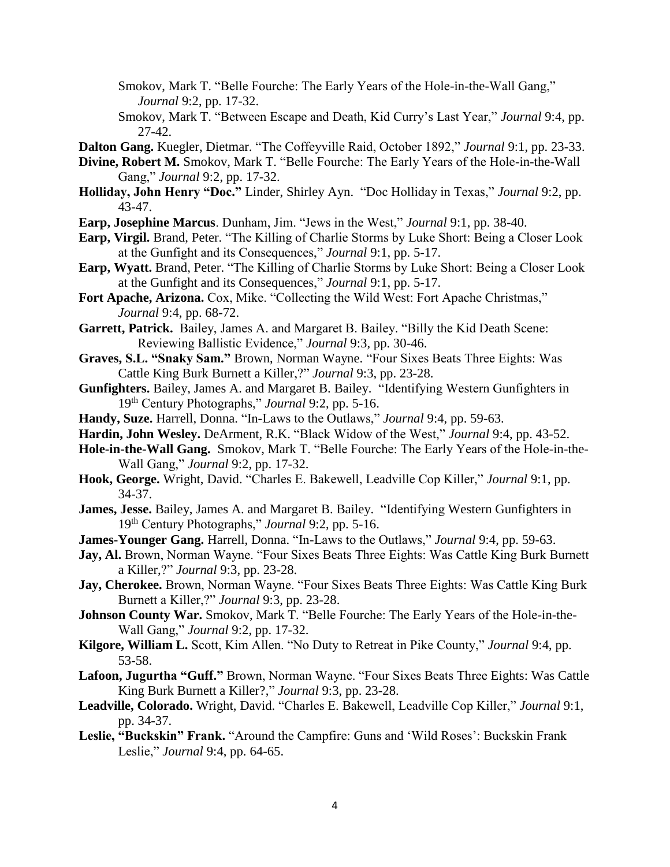- Smokov, Mark T. "Belle Fourche: The Early Years of the Hole-in-the-Wall Gang," *Journal* 9:2, pp. 17-32.
- Smokov, Mark T. "Between Escape and Death, Kid Curry's Last Year," *Journal* 9:4, pp. 27-42.
- **Dalton Gang.** Kuegler, Dietmar. "The Coffeyville Raid, October 1892," *Journal* 9:1, pp. 23-33.
- **Divine, Robert M.** Smokov, Mark T. "Belle Fourche: The Early Years of the Hole-in-the-Wall Gang," *Journal* 9:2, pp. 17-32.
- **Holliday, John Henry "Doc."** Linder, Shirley Ayn."Doc Holliday in Texas," *Journal* 9:2, pp. 43-47.
- **Earp, Josephine Marcus**. Dunham, Jim. "Jews in the West," *Journal* 9:1, pp. 38-40.
- **Earp, Virgil.** Brand, Peter. "The Killing of Charlie Storms by Luke Short: Being a Closer Look at the Gunfight and its Consequences," *Journal* 9:1, pp. 5-17.
- **Earp, Wyatt.** Brand, Peter. "The Killing of Charlie Storms by Luke Short: Being a Closer Look at the Gunfight and its Consequences," *Journal* 9:1, pp. 5-17.
- **Fort Apache, Arizona.** Cox, Mike. "Collecting the Wild West: Fort Apache Christmas," *Journal* 9:4, pp. 68-72.
- **Garrett, Patrick.** Bailey, James A. and Margaret B. Bailey. "Billy the Kid Death Scene: Reviewing Ballistic Evidence," *Journal* 9:3, pp. 30-46.
- **Graves, S.L. "Snaky Sam."** Brown, Norman Wayne. "Four Sixes Beats Three Eights: Was Cattle King Burk Burnett a Killer,?" *Journal* 9:3, pp. 23-28.
- **Gunfighters.** Bailey, James A. and Margaret B. Bailey."Identifying Western Gunfighters in 19th Century Photographs," *Journal* 9:2, pp. 5-16.
- **Handy, Suze.** Harrell, Donna. "In-Laws to the Outlaws," *Journal* 9:4, pp. 59-63.
- **Hardin, John Wesley.** DeArment, R.K. "Black Widow of the West," *Journal* 9:4, pp. 43-52.
- **Hole-in-the-Wall Gang.** Smokov, Mark T. "Belle Fourche: The Early Years of the Hole-in-the-Wall Gang," *Journal* 9:2, pp. 17-32.
- **Hook, George.** Wright, David. "Charles E. Bakewell, Leadville Cop Killer," *Journal* 9:1, pp. 34-37.
- **James, Jesse.** Bailey, James A. and Margaret B. Bailey."Identifying Western Gunfighters in 19th Century Photographs," *Journal* 9:2, pp. 5-16.
- **James-Younger Gang.** Harrell, Donna. "In-Laws to the Outlaws," *Journal* 9:4, pp. 59-63.
- Jay, Al. Brown, Norman Wayne. "Four Sixes Beats Three Eights: Was Cattle King Burk Burnett a Killer,?" *Journal* 9:3, pp. 23-28.
- **Jay, Cherokee.** Brown, Norman Wayne. "Four Sixes Beats Three Eights: Was Cattle King Burk Burnett a Killer,?" *Journal* 9:3, pp. 23-28.
- **Johnson County War.** Smokov, Mark T. "Belle Fourche: The Early Years of the Hole-in-the-Wall Gang," *Journal* 9:2, pp. 17-32.
- **Kilgore, William L.** Scott, Kim Allen. "No Duty to Retreat in Pike County," *Journal* 9:4, pp. 53-58.
- **Lafoon, Jugurtha "Guff."** Brown, Norman Wayne. "Four Sixes Beats Three Eights: Was Cattle King Burk Burnett a Killer?," *Journal* 9:3, pp. 23-28.
- **Leadville, Colorado.** Wright, David. "Charles E. Bakewell, Leadville Cop Killer," *Journal* 9:1, pp. 34-37.
- **Leslie, "Buckskin" Frank.** "Around the Campfire: Guns and 'Wild Roses': Buckskin Frank Leslie," *Journal* 9:4, pp. 64-65.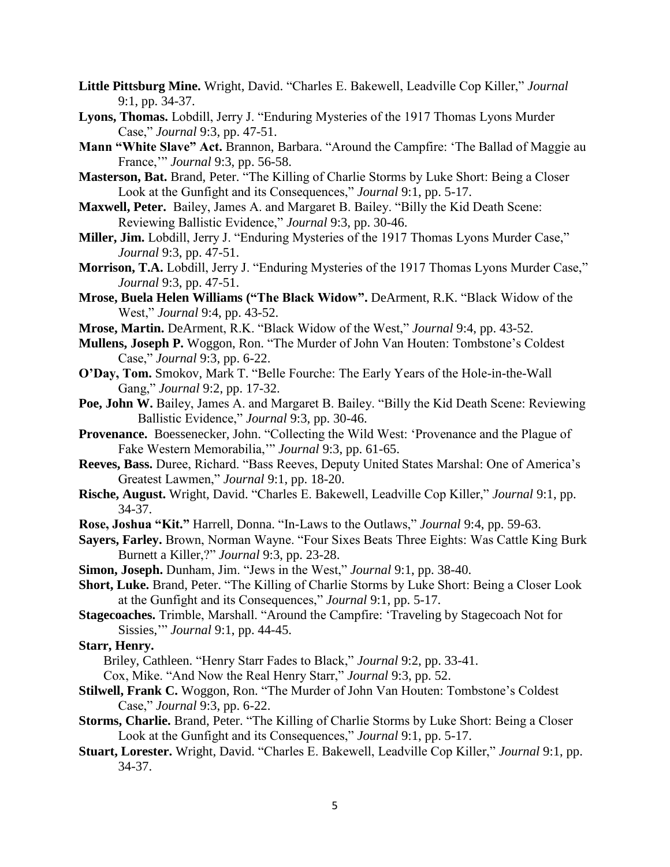- **Little Pittsburg Mine.** Wright, David. "Charles E. Bakewell, Leadville Cop Killer," *Journal*  9:1, pp. 34-37.
- **Lyons, Thomas.** Lobdill, Jerry J. "Enduring Mysteries of the 1917 Thomas Lyons Murder Case," *Journal* 9:3, pp. 47-51.
- **Mann "White Slave" Act.** Brannon, Barbara. "Around the Campfire: 'The Ballad of Maggie au France,'" *Journal* 9:3, pp. 56-58.
- **Masterson, Bat.** Brand, Peter. "The Killing of Charlie Storms by Luke Short: Being a Closer Look at the Gunfight and its Consequences," *Journal* 9:1, pp. 5-17.
- **Maxwell, Peter.** Bailey, James A. and Margaret B. Bailey. "Billy the Kid Death Scene: Reviewing Ballistic Evidence," *Journal* 9:3, pp. 30-46.
- **Miller, Jim.** Lobdill, Jerry J. "Enduring Mysteries of the 1917 Thomas Lyons Murder Case," *Journal* 9:3, pp. 47-51.
- **Morrison, T.A.** Lobdill, Jerry J. "Enduring Mysteries of the 1917 Thomas Lyons Murder Case," *Journal* 9:3, pp. 47-51.
- **Mrose, Buela Helen Williams ("The Black Widow".** DeArment, R.K. "Black Widow of the West," *Journal* 9:4, pp. 43-52.
- **Mrose, Martin.** DeArment, R.K. "Black Widow of the West," *Journal* 9:4, pp. 43-52.
- **Mullens, Joseph P.** Woggon, Ron. "The Murder of John Van Houten: Tombstone's Coldest Case," *Journal* 9:3, pp. 6-22.
- **O'Day, Tom.** Smokov, Mark T. "Belle Fourche: The Early Years of the Hole-in-the-Wall Gang," *Journal* 9:2, pp. 17-32.
- Poe, John W. Bailey, James A. and Margaret B. Bailey. "Billy the Kid Death Scene: Reviewing Ballistic Evidence," *Journal* 9:3, pp. 30-46.
- **Provenance.** Boessenecker, John. "Collecting the Wild West: 'Provenance and the Plague of Fake Western Memorabilia,'" *Journal* 9:3, pp. 61-65.
- **Reeves, Bass.** Duree, Richard. "Bass Reeves, Deputy United States Marshal: One of America's Greatest Lawmen," *Journal* 9:1, pp. 18-20.
- **Rische, August.** Wright, David. "Charles E. Bakewell, Leadville Cop Killer," *Journal* 9:1, pp. 34-37.
- **Rose, Joshua "Kit."** Harrell, Donna. "In-Laws to the Outlaws," *Journal* 9:4, pp. 59-63.
- **Sayers, Farley.** Brown, Norman Wayne. "Four Sixes Beats Three Eights: Was Cattle King Burk Burnett a Killer,?" *Journal* 9:3, pp. 23-28.
- **Simon, Joseph.** Dunham, Jim. "Jews in the West," *Journal* 9:1, pp. 38-40.
- **Short, Luke.** Brand, Peter. "The Killing of Charlie Storms by Luke Short: Being a Closer Look at the Gunfight and its Consequences," *Journal* 9:1, pp. 5-17.
- **Stagecoaches.** Trimble, Marshall. "Around the Campfire: 'Traveling by Stagecoach Not for Sissies,'" *Journal* 9:1, pp. 44-45.

### **Starr, Henry.**

Briley, Cathleen. "Henry Starr Fades to Black," *Journal* 9:2, pp. 33-41.

- Cox, Mike. "And Now the Real Henry Starr," *Journal* 9:3, pp. 52.
- **Stilwell, Frank C.** Woggon, Ron. "The Murder of John Van Houten: Tombstone's Coldest Case," *Journal* 9:3, pp. 6-22.
- **Storms, Charlie.** Brand, Peter. "The Killing of Charlie Storms by Luke Short: Being a Closer Look at the Gunfight and its Consequences," *Journal* 9:1, pp. 5-17.
- **Stuart, Lorester.** Wright, David. "Charles E. Bakewell, Leadville Cop Killer," *Journal* 9:1, pp. 34-37.